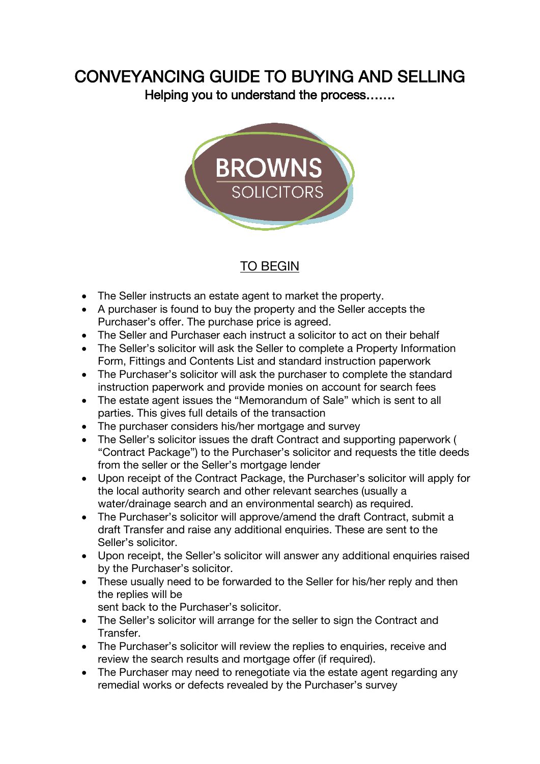## CONVEYANCING GUIDE TO BUYING AND SELLING

Helping you to understand the process…….



## TO BEGIN

- The Seller instructs an estate agent to market the property.
- A purchaser is found to buy the property and the Seller accepts the Purchaser's offer. The purchase price is agreed.
- The Seller and Purchaser each instruct a solicitor to act on their behalf
- The Seller's solicitor will ask the Seller to complete a Property Information Form, Fittings and Contents List and standard instruction paperwork
- The Purchaser's solicitor will ask the purchaser to complete the standard instruction paperwork and provide monies on account for search fees
- The estate agent issues the "Memorandum of Sale" which is sent to all parties. This gives full details of the transaction
- The purchaser considers his/her mortgage and survey
- The Seller's solicitor issues the draft Contract and supporting paperwork ( "Contract Package") to the Purchaser's solicitor and requests the title deeds from the seller or the Seller's mortgage lender
- Upon receipt of the Contract Package, the Purchaser's solicitor will apply for the local authority search and other relevant searches (usually a water/drainage search and an environmental search) as required.
- The Purchaser's solicitor will approve/amend the draft Contract, submit a draft Transfer and raise any additional enquiries. These are sent to the Seller's solicitor.
- Upon receipt, the Seller's solicitor will answer any additional enquiries raised by the Purchaser's solicitor.
- These usually need to be forwarded to the Seller for his/her reply and then the replies will be

sent back to the Purchaser's solicitor.

- The Seller's solicitor will arrange for the seller to sign the Contract and Transfer.
- The Purchaser's solicitor will review the replies to enquiries, receive and review the search results and mortgage offer (if required).
- The Purchaser may need to renegotiate via the estate agent regarding any remedial works or defects revealed by the Purchaser's survey